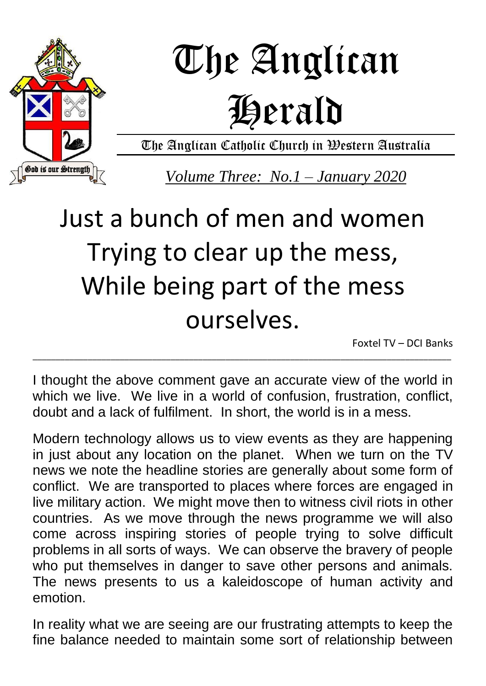

# The Anglican Herald

The Anglican Catholic Church in Western Australia

*Volume Three: No.1 – January 2020*

### Just a bunch of men and women Trying to clear up the mess, While being part of the mess ourselves.

Foxtel TV – DCI Banks

I thought the above comment gave an accurate view of the world in which we live. We live in a world of confusion, frustration, conflict, doubt and a lack of fulfilment. In short, the world is in a mess.

\_\_\_\_\_\_\_\_\_\_\_\_\_\_\_\_\_\_\_\_\_\_\_\_\_\_\_\_\_\_\_\_\_\_\_\_\_\_\_\_\_\_\_\_\_\_\_\_\_\_\_\_\_\_\_\_\_\_\_\_\_\_\_\_\_\_\_\_\_\_\_\_\_\_\_\_\_\_\_\_\_\_\_\_\_\_\_\_\_\_\_

Modern technology allows us to view events as they are happening in just about any location on the planet. When we turn on the TV news we note the headline stories are generally about some form of conflict. We are transported to places where forces are engaged in live military action. We might move then to witness civil riots in other countries. As we move through the news programme we will also come across inspiring stories of people trying to solve difficult problems in all sorts of ways. We can observe the bravery of people who put themselves in danger to save other persons and animals. The news presents to us a kaleidoscope of human activity and emotion.

In reality what we are seeing are our frustrating attempts to keep the fine balance needed to maintain some sort of relationship between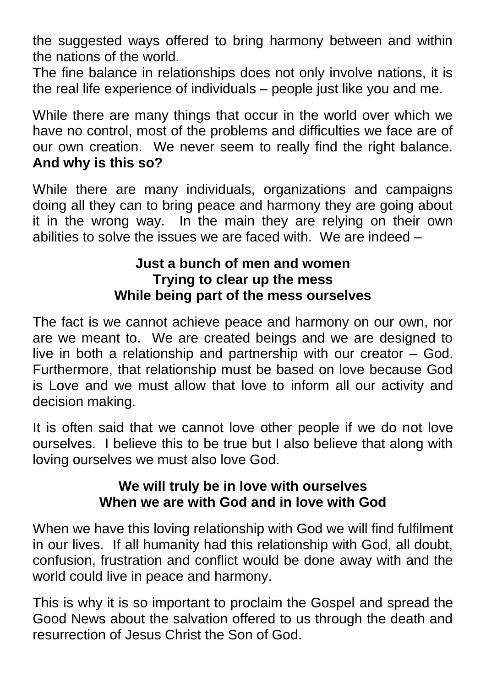the suggested ways offered to bring harmony between and within the nations of the world.

The fine balance in relationships does not only involve nations, it is the real life experience of individuals – people just like you and me.

While there are many things that occur in the world over which we have no control, most of the problems and difficulties we face are of our own creation. We never seem to really find the right balance. **And why is this so?**

While there are many individuals, organizations and campaigns doing all they can to bring peace and harmony they are going about it in the wrong way. In the main they are relying on their own abilities to solve the issues we are faced with. We are indeed –

#### **Just a bunch of men and women Trying to clear up the mess While being part of the mess ourselves**

The fact is we cannot achieve peace and harmony on our own, nor are we meant to. We are created beings and we are designed to live in both a relationship and partnership with our creator – God. Furthermore, that relationship must be based on love because God is Love and we must allow that love to inform all our activity and decision making.

It is often said that we cannot love other people if we do not love ourselves. I believe this to be true but I also believe that along with loving ourselves we must also love God.

#### **We will truly be in love with ourselves When we are with God and in love with God**

When we have this loving relationship with God we will find fulfilment in our lives. If all humanity had this relationship with God, all doubt, confusion, frustration and conflict would be done away with and the world could live in peace and harmony.

This is why it is so important to proclaim the Gospel and spread the Good News about the salvation offered to us through the death and resurrection of Jesus Christ the Son of God.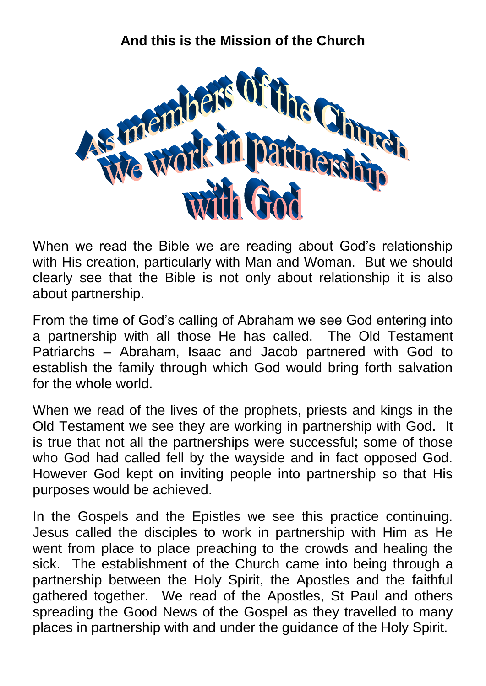#### **And this is the Mission of the Church**



When we read the Bible we are reading about God's relationship with His creation, particularly with Man and Woman. But we should clearly see that the Bible is not only about relationship it is also about partnership.

From the time of God's calling of Abraham we see God entering into a partnership with all those He has called. The Old Testament Patriarchs – Abraham, Isaac and Jacob partnered with God to establish the family through which God would bring forth salvation for the whole world.

When we read of the lives of the prophets, priests and kings in the Old Testament we see they are working in partnership with God. It is true that not all the partnerships were successful; some of those who God had called fell by the wayside and in fact opposed God. However God kept on inviting people into partnership so that His purposes would be achieved.

In the Gospels and the Epistles we see this practice continuing. Jesus called the disciples to work in partnership with Him as He went from place to place preaching to the crowds and healing the sick. The establishment of the Church came into being through a partnership between the Holy Spirit, the Apostles and the faithful gathered together. We read of the Apostles, St Paul and others spreading the Good News of the Gospel as they travelled to many places in partnership with and under the guidance of the Holy Spirit.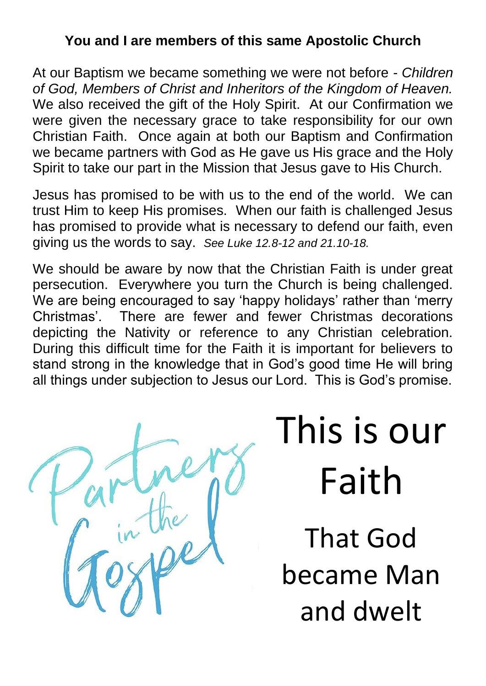#### **You and I are members of this same Apostolic Church**

At our Baptism we became something we were not before - *Children of God, Members of Christ and Inheritors of the Kingdom of Heaven.* We also received the gift of the Holy Spirit. At our Confirmation we were given the necessary grace to take responsibility for our own Christian Faith. Once again at both our Baptism and Confirmation we became partners with God as He gave us His grace and the Holy Spirit to take our part in the Mission that Jesus gave to His Church.

Jesus has promised to be with us to the end of the world. We can trust Him to keep His promises. When our faith is challenged Jesus has promised to provide what is necessary to defend our faith, even giving us the words to say. *See Luke 12.8-12 and 21.10-18.*

We should be aware by now that the Christian Faith is under great persecution. Everywhere you turn the Church is being challenged. We are being encouraged to say 'happy holidays' rather than 'merry Christmas'. There are fewer and fewer Christmas decorations depicting the Nativity or reference to any Christian celebration. During this difficult time for the Faith it is important for believers to stand strong in the knowledge that in God's good time He will bring all things under subjection to Jesus our Lord. This is God's promise.

## This is our Faith

That God became Man and dwelt